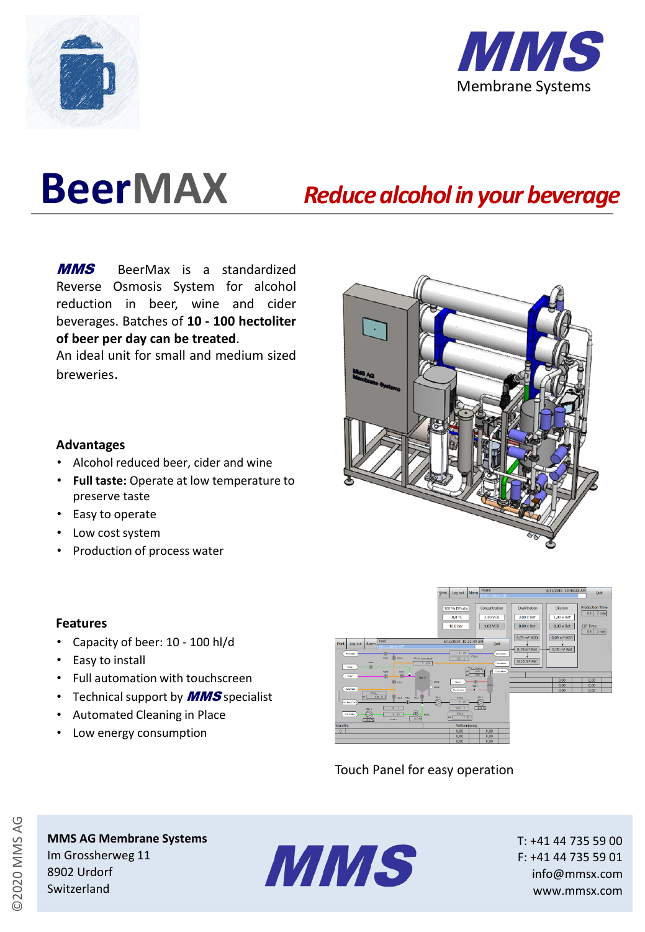



# **BeerMAX**

# *Reduce alcohol in your beverage*

**MMS** BeerMax is a standardized Reverse Osmosis System for alcohol reduction in beer, wine and cider beverages. Batches of **10 - 100 hectoliter of beer per day can be treated**.

An ideal unit for small and medium sized breweries.

### **Advantages**

- Alcohol reduced beer, cider and wine
- **Full taste:** Operate at low temperature to preserve taste
- Easy to operate
- Low cost system
- Production of process water

### **Features**

- Capacity of beer: 10 100 hl/d
- Easy to install
- Full automation with touchscreen
- Technical support by **MMS** specialist
- Automated Cleaning in Place
- Low energy consumption



# Touch Panel for easy operation

©2020 MMS AG

## **MMS AG Membrane Systems** Im Grossherweg 11 8902 Urdorf Switzerland



T: +41 44 735 59 00 F: +41 44 735 59 01 info@mmsx.com www.mmsx.com